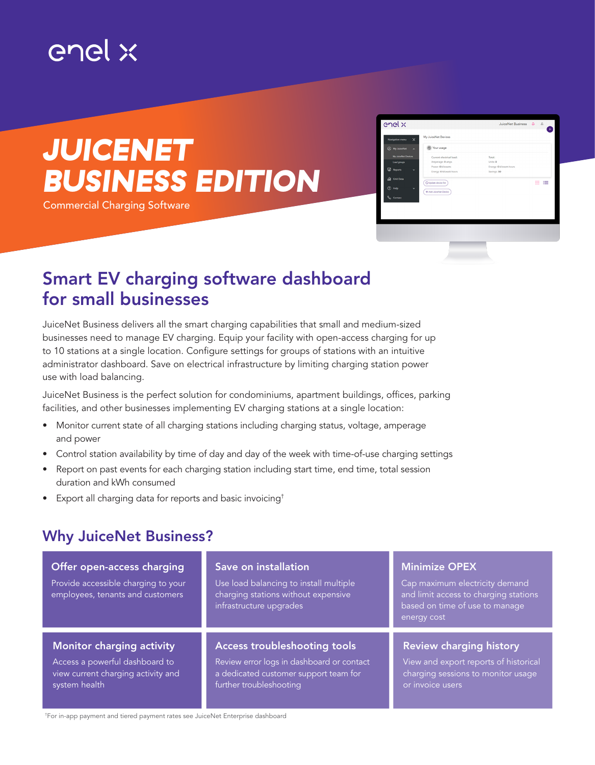## enel x

# *JUICENET BUSINESS EDITION*

Commercial Charging Software

| enel x                                     |                                                | JuiceNet Business Q &                    |     |
|--------------------------------------------|------------------------------------------------|------------------------------------------|-----|
| $\times$<br>Navigation menu                | My JuiceNet Devices                            |                                          |     |
| <b>B</b> My JulceNet<br>$\bar{\mathbf{A}}$ | (b) Your usage                                 |                                          |     |
| My JuiceNet Devices                        | Current electrical load:                       | Total:                                   |     |
| Load groups                                | Amperage: 0 amps                               | Units: 0                                 |     |
| <b>Z</b> Reports<br>$\checkmark$           | Power: O kilowatts<br>Energy: O kilowatt-hours | Energy: 0 kilowatt-hours<br>Savings: \$0 |     |
|                                            |                                                |                                          |     |
| <b>Gill</b> Grid Data                      | O Update device list                           |                                          | m m |
| $②$ Help<br>$\ddot{\phantom{1}}$           |                                                |                                          |     |
|                                            | + Add JulceNet Device                          |                                          |     |
| Contact                                    |                                                |                                          |     |
|                                            |                                                |                                          |     |
|                                            |                                                |                                          |     |
|                                            |                                                |                                          |     |
|                                            |                                                |                                          |     |
|                                            |                                                |                                          |     |
|                                            |                                                |                                          |     |
|                                            |                                                |                                          |     |
|                                            |                                                |                                          |     |
|                                            |                                                |                                          |     |

### Smart EV charging software dashboard for small businesses

JuiceNet Business delivers all the smart charging capabilities that small and medium-sized businesses need to manage EV charging. Equip your facility with open-access charging for up to 10 stations at a single location. Configure settings for groups of stations with an intuitive administrator dashboard. Save on electrical infrastructure by limiting charging station power use with load balancing.

JuiceNet Business is the perfect solution for condominiums, apartment buildings, offices, parking facilities, and other businesses implementing EV charging stations at a single location:

- Monitor current state of all charging stations including charging status, voltage, amperage and power
- Control station availability by time of day and day of the week with time-of-use charging settings
- Report on past events for each charging station including start time, end time, total session duration and kWh consumed
- Export all charging data for reports and basic invoicing†

### Why JuiceNet Business?

| Offer open-access charging<br>Provide accessible charging to your<br>employees, tenants and customers | Save on installation<br>Use load balancing to install multiple<br>charging stations without expensive<br>infrastructure upgrades | <b>Minimize OPEX</b><br>Cap maximum electricity demand<br>and limit access to charging stations<br>based on time of use to manage<br>energy cost |  |
|-------------------------------------------------------------------------------------------------------|----------------------------------------------------------------------------------------------------------------------------------|--------------------------------------------------------------------------------------------------------------------------------------------------|--|
| <b>Monitor charging activity</b>                                                                      | <b>Access troubleshooting tools</b>                                                                                              | <b>Review charging history</b>                                                                                                                   |  |
| Access a powerful dashboard to                                                                        | Review error logs in dashboard or contact                                                                                        | View and export reports of historical                                                                                                            |  |
| view current charging activity and                                                                    | a dedicated customer support team for                                                                                            | charging sessions to monitor usage                                                                                                               |  |
| system health                                                                                         | further troubleshooting                                                                                                          | or invoice users                                                                                                                                 |  |

† For in-app payment and tiered payment rates see JuiceNet Enterprise dashboard